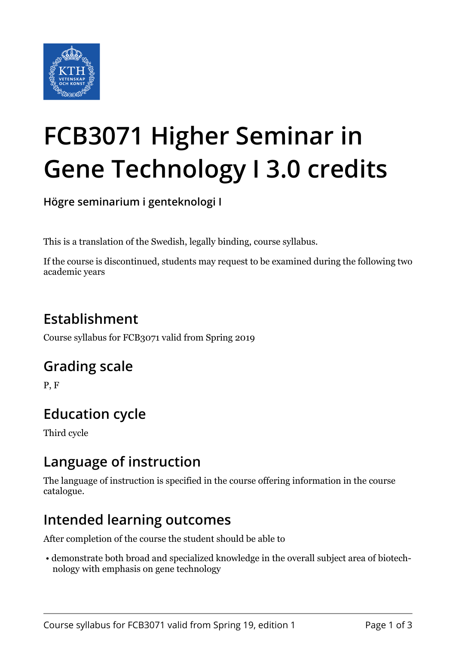

# **FCB3071 Higher Seminar in Gene Technology I 3.0 credits**

**Högre seminarium i genteknologi I**

This is a translation of the Swedish, legally binding, course syllabus.

If the course is discontinued, students may request to be examined during the following two academic years

## **Establishment**

Course syllabus for FCB3071 valid from Spring 2019

#### **Grading scale**

P, F

## **Education cycle**

Third cycle

#### **Language of instruction**

The language of instruction is specified in the course offering information in the course catalogue.

#### **Intended learning outcomes**

After completion of the course the student should be able to

 • demonstrate both broad and specialized knowledge in the overall subject area of biotechnology with emphasis on gene technology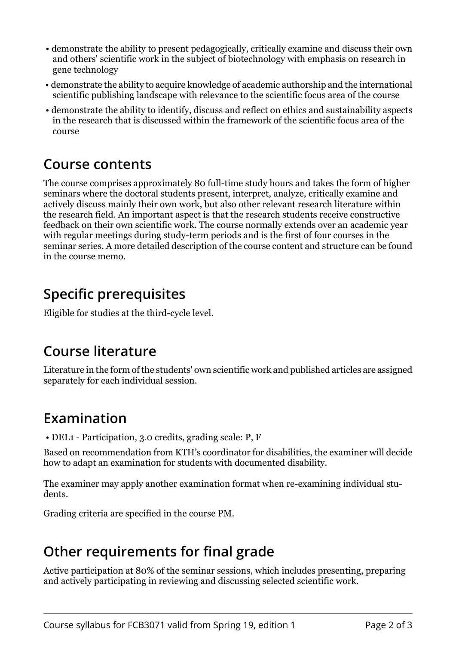- demonstrate the ability to present pedagogically, critically examine and discuss their own and others' scientific work in the subject of biotechnology with emphasis on research in gene technology
- demonstrate the ability to acquire knowledge of academic authorship and the international scientific publishing landscape with relevance to the scientific focus area of the course
- demonstrate the ability to identify, discuss and reflect on ethics and sustainability aspects in the research that is discussed within the framework of the scientific focus area of the course

#### **Course contents**

The course comprises approximately 80 full-time study hours and takes the form of higher seminars where the doctoral students present, interpret, analyze, critically examine and actively discuss mainly their own work, but also other relevant research literature within the research field. An important aspect is that the research students receive constructive feedback on their own scientific work. The course normally extends over an academic year with regular meetings during study-term periods and is the first of four courses in the seminar series. A more detailed description of the course content and structure can be found in the course memo.

### **Specific prerequisites**

Eligible for studies at the third-cycle level.

#### **Course literature**

Literature in the form of the students' own scientific work and published articles are assigned separately for each individual session.

## **Examination**

• DEL1 - Participation, 3.0 credits, grading scale: P, F

Based on recommendation from KTH's coordinator for disabilities, the examiner will decide how to adapt an examination for students with documented disability.

The examiner may apply another examination format when re-examining individual students.

Grading criteria are specified in the course PM.

## **Other requirements for final grade**

Active participation at 80% of the seminar sessions, which includes presenting, preparing and actively participating in reviewing and discussing selected scientific work.